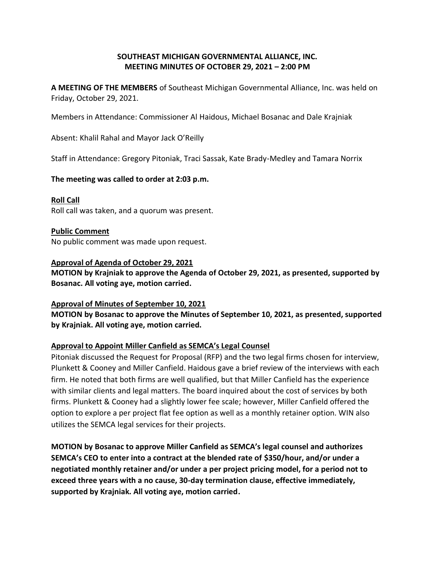## **SOUTHEAST MICHIGAN GOVERNMENTAL ALLIANCE, INC. MEETING MINUTES OF OCTOBER 29, 2021 – 2:00 PM**

**A MEETING OF THE MEMBERS** of Southeast Michigan Governmental Alliance, Inc. was held on Friday, October 29, 2021.

Members in Attendance: Commissioner Al Haidous, Michael Bosanac and Dale Krajniak

Absent: Khalil Rahal and Mayor Jack O'Reilly

Staff in Attendance: Gregory Pitoniak, Traci Sassak, Kate Brady-Medley and Tamara Norrix

**The meeting was called to order at 2:03 p.m.**

**Roll Call** Roll call was taken, and a quorum was present.

**Public Comment** No public comment was made upon request.

#### **Approval of Agenda of October 29, 2021**

**MOTION by Krajniak to approve the Agenda of October 29, 2021, as presented, supported by Bosanac. All voting aye, motion carried.**

## **Approval of Minutes of September 10, 2021**

**MOTION by Bosanac to approve the Minutes of September 10, 2021, as presented, supported by Krajniak. All voting aye, motion carried.**

## **Approval to Appoint Miller Canfield as SEMCA's Legal Counsel**

Pitoniak discussed the Request for Proposal (RFP) and the two legal firms chosen for interview, Plunkett & Cooney and Miller Canfield. Haidous gave a brief review of the interviews with each firm. He noted that both firms are well qualified, but that Miller Canfield has the experience with similar clients and legal matters. The board inquired about the cost of services by both firms. Plunkett & Cooney had a slightly lower fee scale; however, Miller Canfield offered the option to explore a per project flat fee option as well as a monthly retainer option. WIN also utilizes the SEMCA legal services for their projects.

**MOTION by Bosanac to approve Miller Canfield as SEMCA's legal counsel and authorizes SEMCA's CEO to enter into a contract at the blended rate of \$350/hour, and/or under a negotiated monthly retainer and/or under a per project pricing model, for a period not to exceed three years with a no cause, 30-day termination clause, effective immediately, supported by Krajniak. All voting aye, motion carried.**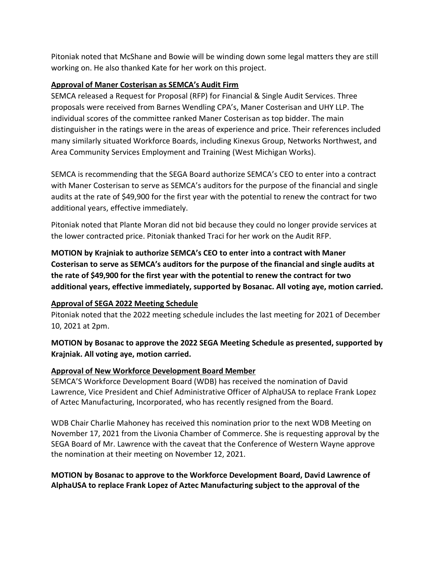Pitoniak noted that McShane and Bowie will be winding down some legal matters they are still working on. He also thanked Kate for her work on this project.

#### **Approval of Maner Costerisan as SEMCA's Audit Firm**

SEMCA released a Request for Proposal (RFP) for Financial & Single Audit Services. Three proposals were received from Barnes Wendling CPA's, Maner Costerisan and UHY LLP. The individual scores of the committee ranked Maner Costerisan as top bidder. The main distinguisher in the ratings were in the areas of experience and price. Their references included many similarly situated Workforce Boards, including Kinexus Group, Networks Northwest, and Area Community Services Employment and Training (West Michigan Works).

SEMCA is recommending that the SEGA Board authorize SEMCA's CEO to enter into a contract with Maner Costerisan to serve as SEMCA's auditors for the purpose of the financial and single audits at the rate of \$49,900 for the first year with the potential to renew the contract for two additional years, effective immediately.

Pitoniak noted that Plante Moran did not bid because they could no longer provide services at the lower contracted price. Pitoniak thanked Traci for her work on the Audit RFP.

**MOTION by Krajniak to authorize SEMCA's CEO to enter into a contract with Maner Costerisan to serve as SEMCA's auditors for the purpose of the financial and single audits at the rate of \$49,900 for the first year with the potential to renew the contract for two additional years, effective immediately, supported by Bosanac. All voting aye, motion carried.**

## **Approval of SEGA 2022 Meeting Schedule**

Pitoniak noted that the 2022 meeting schedule includes the last meeting for 2021 of December 10, 2021 at 2pm.

# **MOTION by Bosanac to approve the 2022 SEGA Meeting Schedule as presented, supported by Krajniak. All voting aye, motion carried.**

## **Approval of New Workforce Development Board Member**

SEMCA'S Workforce Development Board (WDB) has received the nomination of David Lawrence, Vice President and Chief Administrative Officer of AlphaUSA to replace Frank Lopez of Aztec Manufacturing, Incorporated, who has recently resigned from the Board.

WDB Chair Charlie Mahoney has received this nomination prior to the next WDB Meeting on November 17, 2021 from the Livonia Chamber of Commerce. She is requesting approval by the SEGA Board of Mr. Lawrence with the caveat that the Conference of Western Wayne approve the nomination at their meeting on November 12, 2021.

## **MOTION by Bosanac to approve to the Workforce Development Board, David Lawrence of AlphaUSA to replace Frank Lopez of Aztec Manufacturing subject to the approval of the**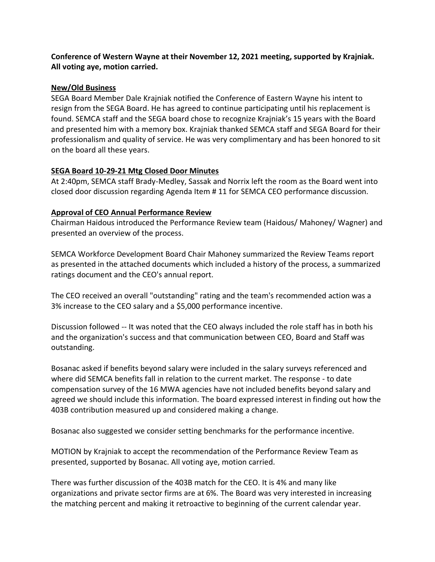## **Conference of Western Wayne at their November 12, 2021 meeting, supported by Krajniak. All voting aye, motion carried.**

#### **New/Old Business**

SEGA Board Member Dale Krajniak notified the Conference of Eastern Wayne his intent to resign from the SEGA Board. He has agreed to continue participating until his replacement is found. SEMCA staff and the SEGA board chose to recognize Krajniak's 15 years with the Board and presented him with a memory box. Krajniak thanked SEMCA staff and SEGA Board for their professionalism and quality of service. He was very complimentary and has been honored to sit on the board all these years.

#### **SEGA Board 10-29-21 Mtg Closed Door Minutes**

At 2:40pm, SEMCA staff Brady-Medley, Sassak and Norrix left the room as the Board went into closed door discussion regarding Agenda Item # 11 for SEMCA CEO performance discussion.

## **Approval of CEO Annual Performance Review**

Chairman Haidous introduced the Performance Review team (Haidous/ Mahoney/ Wagner) and presented an overview of the process.

SEMCA Workforce Development Board Chair Mahoney summarized the Review Teams report as presented in the attached documents which included a history of the process, a summarized ratings document and the CEO's annual report.

The CEO received an overall "outstanding" rating and the team's recommended action was a 3% increase to the CEO salary and a \$5,000 performance incentive.

Discussion followed -- It was noted that the CEO always included the role staff has in both his and the organization's success and that communication between CEO, Board and Staff was outstanding.

Bosanac asked if benefits beyond salary were included in the salary surveys referenced and where did SEMCA benefits fall in relation to the current market. The response - to date compensation survey of the 16 MWA agencies have not included benefits beyond salary and agreed we should include this information. The board expressed interest in finding out how the 403B contribution measured up and considered making a change.

Bosanac also suggested we consider setting benchmarks for the performance incentive.

MOTION by Krajniak to accept the recommendation of the Performance Review Team as presented, supported by Bosanac. All voting aye, motion carried.

There was further discussion of the 403B match for the CEO. It is 4% and many like organizations and private sector firms are at 6%. The Board was very interested in increasing the matching percent and making it retroactive to beginning of the current calendar year.